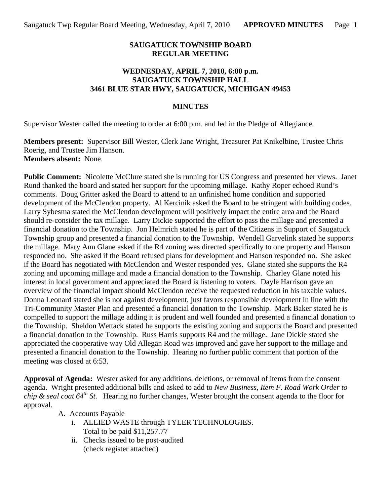### **SAUGATUCK TOWNSHIP BOARD REGULAR MEETING**

### **WEDNESDAY, APRIL 7, 2010, 6:00 p.m. SAUGATUCK TOWNSHIP HALL 3461 BLUE STAR HWY, SAUGATUCK, MICHIGAN 49453**

### **MINUTES**

Supervisor Wester called the meeting to order at 6:00 p.m. and led in the Pledge of Allegiance.

**Members present:** Supervisor Bill Wester, Clerk Jane Wright, Treasurer Pat Knikelbine, Trustee Chris Roerig, and Trustee Jim Hanson. **Members absent:** None.

**Public Comment:** Nicolette McClure stated she is running for US Congress and presented her views. Janet Rund thanked the board and stated her support for the upcoming millage. Kathy Roper echoed Rund's comments. Doug Gritter asked the Board to attend to an unfinished home condition and supported development of the McClendon property. Al Kercinik asked the Board to be stringent with building codes. Larry Sybesma stated the McClendon development will positively impact the entire area and the Board should re-consider the tax millage. Larry Dickie supported the effort to pass the millage and presented a financial donation to the Township. Jon Helmrich stated he is part of the Citizens in Support of Saugatuck Township group and presented a financial donation to the Township. Wendell Garvelink stated he supports the millage. Mary Ann Glane asked if the R4 zoning was directed specifically to one property and Hanson responded no. She asked if the Board refused plans for development and Hanson responded no. She asked if the Board has negotiated with McClendon and Wester responded yes. Glane stated she supports the R4 zoning and upcoming millage and made a financial donation to the Township. Charley Glane noted his interest in local government and appreciated the Board is listening to voters. Dayle Harrison gave an overview of the financial impact should McClendon receive the requested reduction in his taxable values. Donna Leonard stated she is not against development, just favors responsible development in line with the Tri-Community Master Plan and presented a financial donation to the Township. Mark Baker stated he is compelled to support the millage adding it is prudent and well founded and presented a financial donation to the Township. Sheldon Wettack stated he supports the existing zoning and supports the Board and presented a financial donation to the Township. Russ Harris supports R4 and the millage. Jane Dickie stated she appreciated the cooperative way Old Allegan Road was improved and gave her support to the millage and presented a financial donation to the Township. Hearing no further public comment that portion of the meeting was closed at 6:53.

**Approval of Agenda:** Wester asked for any additions, deletions, or removal of items from the consent agenda. Wright presented additional bills and asked to add to *New Business, Item F. Road Work Order to chip & seal coat 64th St.* Hearing no further changes, Wester brought the consent agenda to the floor for approval.

- A. Accounts Payable
	- i. ALLIED WASTE through TYLER TECHNOLOGIES. Total to be paid \$11,257.77
	- ii. Checks issued to be post-audited (check register attached)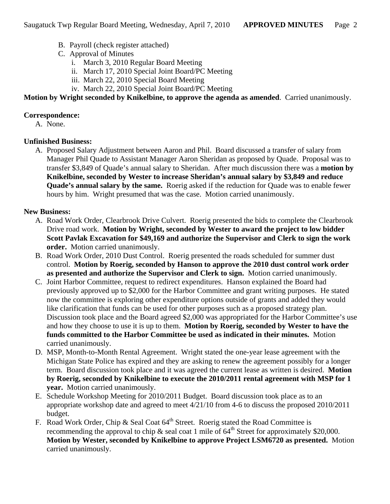- B. Payroll (check register attached)
- C. Approval of Minutes
	- i. March 3, 2010 Regular Board Meeting
	- ii. March 17, 2010 Special Joint Board/PC Meeting
	- iii. March 22, 2010 Special Board Meeting
	- iv. March 22, 2010 Special Joint Board/PC Meeting

# **Motion by Wright seconded by Knikelbine, to approve the agenda as amended**. Carried unanimously.

## **Correspondence:**

A. None.

# **Unfinished Business:**

A. Proposed Salary Adjustment between Aaron and Phil. Board discussed a transfer of salary from Manager Phil Quade to Assistant Manager Aaron Sheridan as proposed by Quade. Proposal was to transfer \$3,849 of Quade's annual salary to Sheridan. After much discussion there was a **motion by Knikelbine, seconded by Wester to increase Sheridan's annual salary by \$3,849 and reduce Quade's annual salary by the same.** Roerig asked if the reduction for Quade was to enable fewer hours by him. Wright presumed that was the case. Motion carried unanimously.

### **New Business:**

- A. Road Work Order, Clearbrook Drive Culvert. Roerig presented the bids to complete the Clearbrook Drive road work. **Motion by Wright, seconded by Wester to award the project to low bidder Scott Pavlak Excavation for \$49,169 and authorize the Supervisor and Clerk to sign the work order.** Motion carried unanimously.
- B. Road Work Order, 2010 Dust Control. Roerig presented the roads scheduled for summer dust control. **Motion by Roerig, seconded by Hanson to approve the 2010 dust control work order as presented and authorize the Supervisor and Clerk to sign.** Motion carried unanimously.
- C. Joint Harbor Committee, request to redirect expenditures. Hanson explained the Board had previously approved up to \$2,000 for the Harbor Committee and grant writing purposes. He stated now the committee is exploring other expenditure options outside of grants and added they would like clarification that funds can be used for other purposes such as a proposed strategy plan. Discussion took place and the Board agreed \$2,000 was appropriated for the Harbor Committee's use and how they choose to use it is up to them. **Motion by Roerig, seconded by Wester to have the funds committed to the Harbor Committee be used as indicated in their minutes.** Motion carried unanimously.
- D. MSP, Month-to-Month Rental Agreement. Wright stated the one-year lease agreement with the Michigan State Police has expired and they are asking to renew the agreement possibly for a longer term. Board discussion took place and it was agreed the current lease as written is desired. **Motion by Roerig, seconded by Knikelbine to execute the 2010/2011 rental agreement with MSP for 1 year.** Motion carried unanimously.
- E. Schedule Workshop Meeting for 2010/2011 Budget. Board discussion took place as to an appropriate workshop date and agreed to meet 4/21/10 from 4-6 to discuss the proposed 2010/2011 budget.
- F. Road Work Order, Chip & Seal Coat  $64<sup>th</sup>$  Street. Roerig stated the Road Committee is recommending the approval to chip  $\&$  seal coat 1 mile of 64<sup>th</sup> Street for approximately \$20,000. **Motion by Wester, seconded by Knikelbine to approve Project LSM6720 as presented.** Motion carried unanimously.